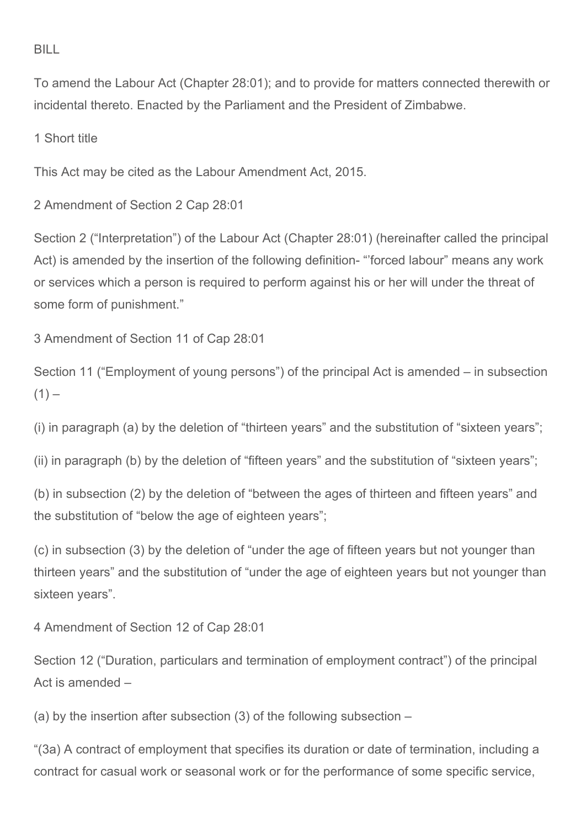## BILL

To amend the Labour Act (Chapter 28:01); and to provide for matters connected therewith or incidental thereto. Enacted by the Parliament and the President of Zimbabwe.

1 Short title

This Act may be cited as the Labour Amendment Act, 2015.

2 Amendment of Section 2 Cap 28:01

Section 2 ("Interpretation") of the Labour Act (Chapter 28:01) (hereinafter called the principal Act) is amended by the insertion of the following definition- "'forced labour" means any work or services which a person is required to perform against his or her will under the threat of some form of punishment."

3 Amendment of Section 11 of Cap 28:01

Section 11 ("Employment of young persons") of the principal Act is amended – in subsection  $(1)$  –

(i) in paragraph (a) by the deletion of "thirteen years" and the substitution of "sixteen years";

(ii) in paragraph (b) by the deletion of "fifteen years" and the substitution of "sixteen years";

(b) in subsection (2) by the deletion of "between the ages of thirteen and fifteen years" and the substitution of "below the age of eighteen years";

(c) in subsection (3) by the deletion of "under the age of fifteen years but not younger than thirteen years" and the substitution of "under the age of eighteen years but not younger than sixteen years".

4 Amendment of Section 12 of Cap 28:01

Section 12 ("Duration, particulars and termination of employment contract") of the principal Act is amended –

(a) by the insertion after subsection (3) of the following subsection –

"(3a) A contract of employment that specifies its duration or date of termination, including a contract for casual work or seasonal work or for the performance of some specific service,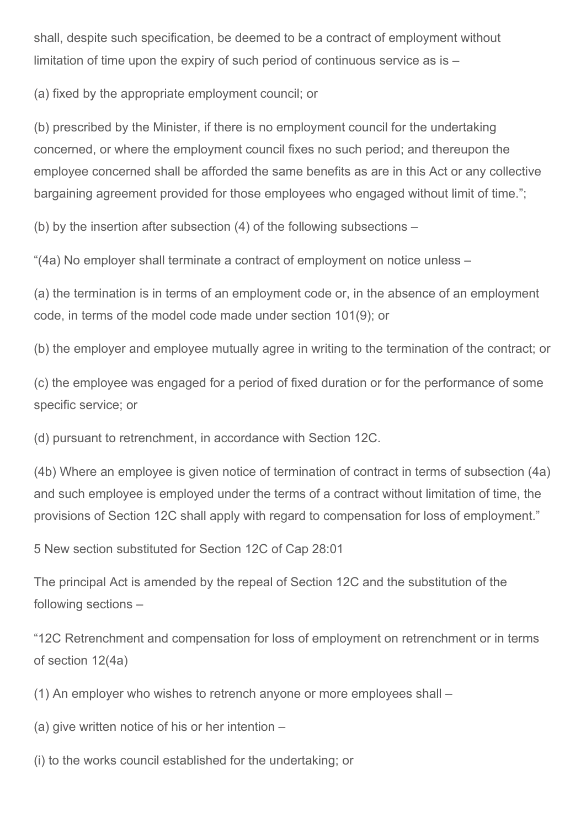shall, despite such specification, be deemed to be a contract of employment without limitation of time upon the expiry of such period of continuous service as is –

(a) fixed by the appropriate employment council; or

(b) prescribed by the Minister, if there is no employment council for the undertaking concerned, or where the employment council fixes no such period; and thereupon the employee concerned shall be afforded the same benefits as are in this Act or any collective bargaining agreement provided for those employees who engaged without limit of time.";

(b) by the insertion after subsection (4) of the following subsections –

"(4a) No employer shall terminate a contract of employment on notice unless –

(a) the termination is in terms of an employment code or, in the absence of an employment code, in terms of the model code made under section 101(9); or

(b) the employer and employee mutually agree in writing to the termination of the contract; or

(c) the employee was engaged for a period of fixed duration or for the performance of some specific service; or

(d) pursuant to retrenchment, in accordance with Section 12C.

(4b) Where an employee is given notice of termination of contract in terms of subsection (4a) and such employee is employed under the terms of a contract without limitation of time, the provisions of Section 12C shall apply with regard to compensation for loss of employment."

5 New section substituted for Section 12C of Cap 28:01

The principal Act is amended by the repeal of Section 12C and the substitution of the following sections –

"12C Retrenchment and compensation for loss of employment on retrenchment or in terms of section 12(4a)

(1) An employer who wishes to retrench anyone or more employees shall –

(a) give written notice of his or her intention –

(i) to the works council established for the undertaking; or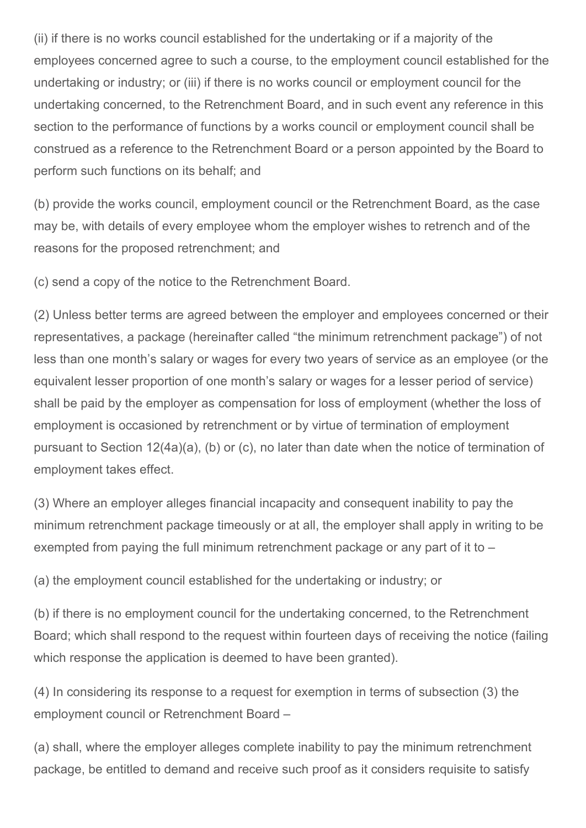(ii) if there is no works council established for the undertaking or if a majority of the employees concerned agree to such a course, to the employment council established for the undertaking or industry; or (iii) if there is no works council or employment council for the undertaking concerned, to the Retrenchment Board, and in such event any reference in this section to the performance of functions by a works council or employment council shall be construed as a reference to the Retrenchment Board or a person appointed by the Board to perform such functions on its behalf; and

(b) provide the works council, employment council or the Retrenchment Board, as the case may be, with details of every employee whom the employer wishes to retrench and of the reasons for the proposed retrenchment; and

(c) send a copy of the notice to the Retrenchment Board.

(2) Unless better terms are agreed between the employer and employees concerned or their representatives, a package (hereinafter called "the minimum retrenchment package") of not less than one month's salary or wages for every two years of service as an employee (or the equivalent lesser proportion of one month's salary or wages for a lesser period of service) shall be paid by the employer as compensation for loss of employment (whether the loss of employment is occasioned by retrenchment or by virtue of termination of employment pursuant to Section 12(4a)(a), (b) or (c), no later than date when the notice of termination of employment takes effect.

(3) Where an employer alleges financial incapacity and consequent inability to pay the minimum retrenchment package timeously or at all, the employer shall apply in writing to be exempted from paying the full minimum retrenchment package or any part of it to –

(a) the employment council established for the undertaking or industry; or

(b) if there is no employment council for the undertaking concerned, to the Retrenchment Board; which shall respond to the request within fourteen days of receiving the notice (failing which response the application is deemed to have been granted).

(4) In considering its response to a request for exemption in terms of subsection (3) the employment council or Retrenchment Board –

(a) shall, where the employer alleges complete inability to pay the minimum retrenchment package, be entitled to demand and receive such proof as it considers requisite to satisfy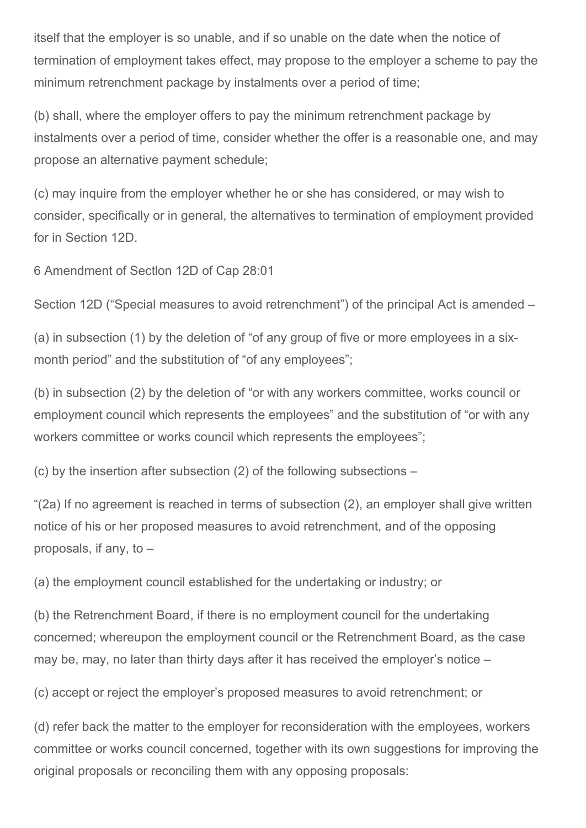itself that the employer is so unable, and if so unable on the date when the notice of termination of employment takes effect, may propose to the employer a scheme to pay the minimum retrenchment package by instalments over a period of time;

(b) shall, where the employer offers to pay the minimum retrenchment package by instalments over a period of time, consider whether the offer is a reasonable one, and may propose an alternative payment schedule;

(c) may inquire from the employer whether he or she has considered, or may wish to consider, specifically or in general, the alternatives to termination of employment provided for in Section 12D.

6 Amendment of Sectlon 12D of Cap 28:01

Section 12D ("Special measures to avoid retrenchment") of the principal Act is amended –

(a) in subsection (1) by the deletion of "of any group of five or more employees in a sixmonth period" and the substitution of "of any employees";

(b) in subsection (2) by the deletion of "or with any workers committee, works council or employment council which represents the employees" and the substitution of "or with any workers committee or works council which represents the employees";

(c) by the insertion after subsection (2) of the following subsections –

"(2a) If no agreement is reached in terms of subsection (2), an employer shall give written notice of his or her proposed measures to avoid retrenchment, and of the opposing proposals, if any, to –

(a) the employment council established for the undertaking or industry; or

(b) the Retrenchment Board, if there is no employment council for the undertaking concerned; whereupon the employment council or the Retrenchment Board, as the case may be, may, no later than thirty days after it has received the employer's notice –

(c) accept or reject the employer's proposed measures to avoid retrenchment; or

(d) refer back the matter to the employer for reconsideration with the employees, workers committee or works council concerned, together with its own suggestions for improving the original proposals or reconciling them with any opposing proposals: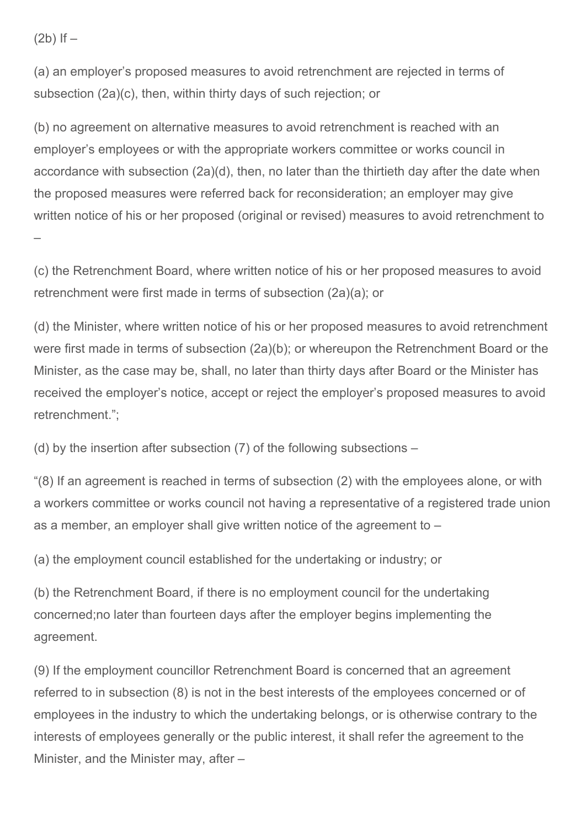$(2b)$  If  $-$ 

(a) an employer's proposed measures to avoid retrenchment are rejected in terms of subsection (2a)(c), then, within thirty days of such rejection; or

(b) no agreement on alternative measures to avoid retrenchment is reached with an employer's employees or with the appropriate workers committee or works council in accordance with subsection (2a)(d), then, no later than the thirtieth day after the date when the proposed measures were referred back for reconsideration; an employer may give written notice of his or her proposed (original or revised) measures to avoid retrenchment to –

(c) the Retrenchment Board, where written notice of his or her proposed measures to avoid retrenchment were first made in terms of subsection (2a)(a); or

(d) the Minister, where written notice of his or her proposed measures to avoid retrenchment were first made in terms of subsection (2a)(b); or whereupon the Retrenchment Board or the Minister, as the case may be, shall, no later than thirty days after Board or the Minister has received the employer's notice, accept or reject the employer's proposed measures to avoid retrenchment.";

(d) by the insertion after subsection (7) of the following subsections –

"(8) If an agreement is reached in terms of subsection (2) with the employees alone, or with a workers committee or works council not having a representative of a registered trade union as a member, an employer shall give written notice of the agreement to –

(a) the employment council established for the undertaking or industry; or

(b) the Retrenchment Board, if there is no employment council for the undertaking concerned;no later than fourteen days after the employer begins implementing the agreement.

(9) If the employment councillor Retrenchment Board is concerned that an agreement referred to in subsection (8) is not in the best interests of the employees concerned or of employees in the industry to which the undertaking belongs, or is otherwise contrary to the interests of employees generally or the public interest, it shall refer the agreement to the Minister, and the Minister may, after –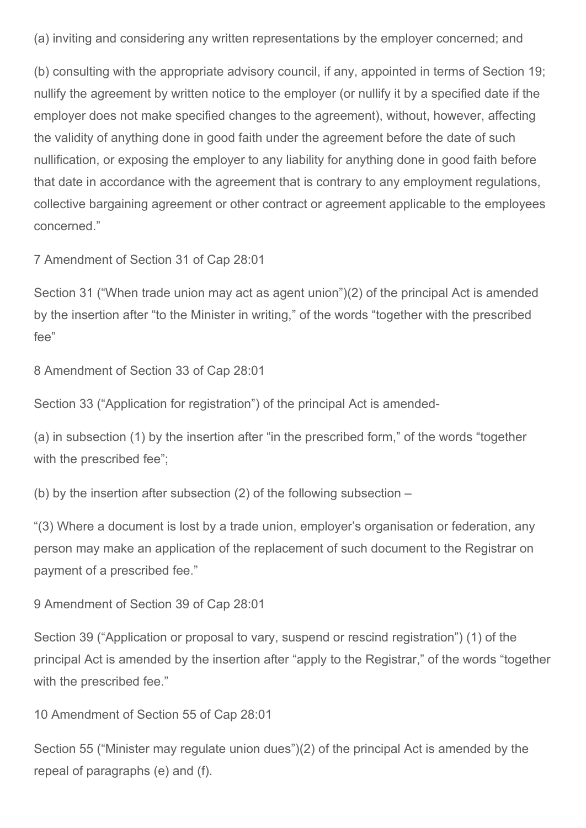(a) inviting and considering any written representations by the employer concerned; and

(b) consulting with the appropriate advisory council, if any, appointed in terms of Section 19; nullify the agreement by written notice to the employer (or nullify it by a specified date if the employer does not make specified changes to the agreement), without, however, affecting the validity of anything done in good faith under the agreement before the date of such nullification, or exposing the employer to any liability for anything done in good faith before that date in accordance with the agreement that is contrary to any employment regulations, collective bargaining agreement or other contract or agreement applicable to the employees concerned."

7 Amendment of Section 31 of Cap 28:01

Section 31 ("When trade union may act as agent union")(2) of the principal Act is amended by the insertion after "to the Minister in writing," of the words "together with the prescribed fee"

8 Amendment of Section 33 of Cap 28:01

Section 33 ("Application for registration") of the principal Act is amended

(a) in subsection (1) by the insertion after "in the prescribed form," of the words "together with the prescribed fee";

(b) by the insertion after subsection (2) of the following subsection –

"(3) Where a document is lost by a trade union, employer's organisation or federation, any person may make an application of the replacement of such document to the Registrar on payment of a prescribed fee."

9 Amendment of Section 39 of Cap 28:01

Section 39 ("Application or proposal to vary, suspend or rescind registration") (1) of the principal Act is amended by the insertion after "apply to the Registrar," of the words "together with the prescribed fee."

10 Amendment of Section 55 of Cap 28:01

Section 55 ("Minister may regulate union dues")(2) of the principal Act is amended by the repeal of paragraphs (e) and (f).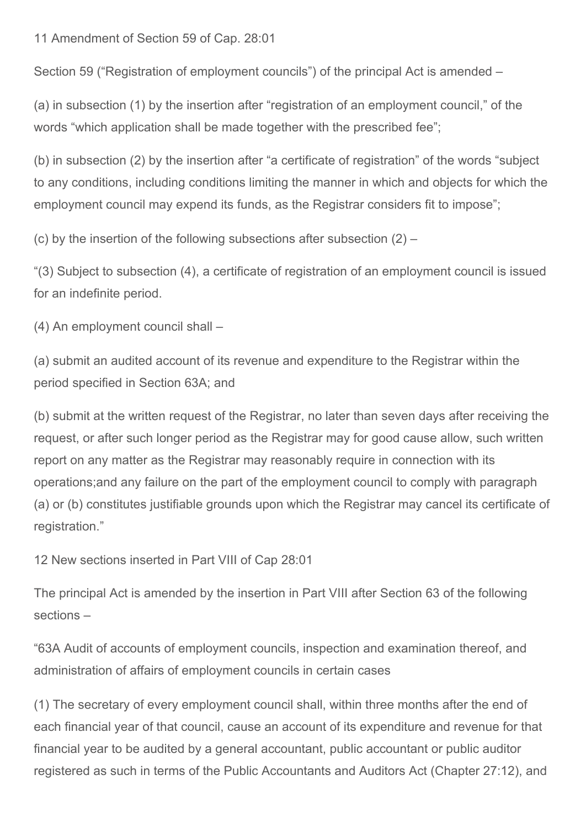11 Amendment of Section 59 of Cap. 28:01

Section 59 ("Registration of employment councils") of the principal Act is amended –

(a) in subsection (1) by the insertion after "registration of an employment council," of the words "which application shall be made together with the prescribed fee";

(b) in subsection (2) by the insertion after "a certificate of registration" of the words "subject to any conditions, including conditions limiting the manner in which and objects for which the employment council may expend its funds, as the Registrar considers fit to impose";

(c) by the insertion of the following subsections after subsection  $(2)$  –

"(3) Subject to subsection (4), a certificate of registration of an employment council is issued for an indefinite period.

(4) An employment council shall –

(a) submit an audited account of its revenue and expenditure to the Registrar within the period specified in Section 63A; and

(b) submit at the written request of the Registrar, no later than seven days after receiving the request, or after such longer period as the Registrar may for good cause allow, such written report on any matter as the Registrar may reasonably require in connection with its operations;and any failure on the part of the employment council to comply with paragraph (a) or (b) constitutes justifiable grounds upon which the Registrar may cancel its certificate of registration."

12 New sections inserted in Part VIII of Cap 28:01

The principal Act is amended by the insertion in Part VIII after Section 63 of the following sections –

"63A Audit of accounts of employment councils, inspection and examination thereof, and administration of affairs of employment councils in certain cases

(1) The secretary of every employment council shall, within three months after the end of each financial year of that council, cause an account of its expenditure and revenue for that financial year to be audited by a general accountant, public accountant or public auditor registered as such in terms of the Public Accountants and Auditors Act (Chapter 27:12), and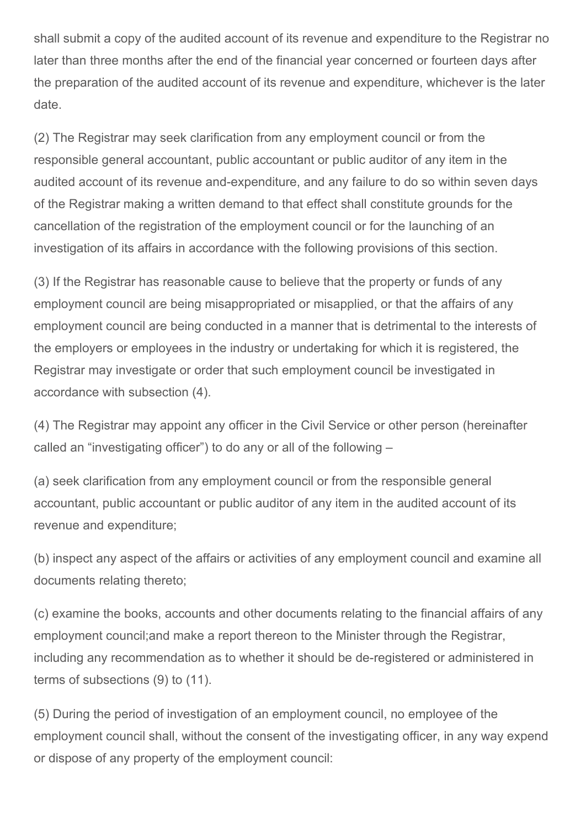shall submit a copy of the audited account of its revenue and expenditure to the Registrar no later than three months after the end of the financial year concerned or fourteen days after the preparation of the audited account of its revenue and expenditure, whichever is the later date.

(2) The Registrar may seek clarification from any employment council or from the responsible general accountant, public accountant or public auditor of any item in the audited account of its revenue and-expenditure, and any failure to do so within seven days of the Registrar making a written demand to that effect shall constitute grounds for the cancellation of the registration of the employment council or for the launching of an investigation of its affairs in accordance with the following provisions of this section.

(3) If the Registrar has reasonable cause to believe that the property or funds of any employment council are being misappropriated or misapplied, or that the affairs of any employment council are being conducted in a manner that is detrimental to the interests of the employers or employees in the industry or undertaking for which it is registered, the Registrar may investigate or order that such employment council be investigated in accordance with subsection (4).

(4) The Registrar may appoint any officer in the Civil Service or other person (hereinafter called an "investigating officer") to do any or all of the following –

(a) seek clarification from any employment council or from the responsible general accountant, public accountant or public auditor of any item in the audited account of its revenue and expenditure;

(b) inspect any aspect of the affairs or activities of any employment council and examine all documents relating thereto;

(c) examine the books, accounts and other documents relating to the financial affairs of any employment council;and make a report thereon to the Minister through the Registrar, including any recommendation as to whether it should be de-registered or administered in terms of subsections (9) to (11).

(5) During the period of investigation of an employment council, no employee of the employment council shall, without the consent of the investigating officer, in any way expend or dispose of any property of the employment council: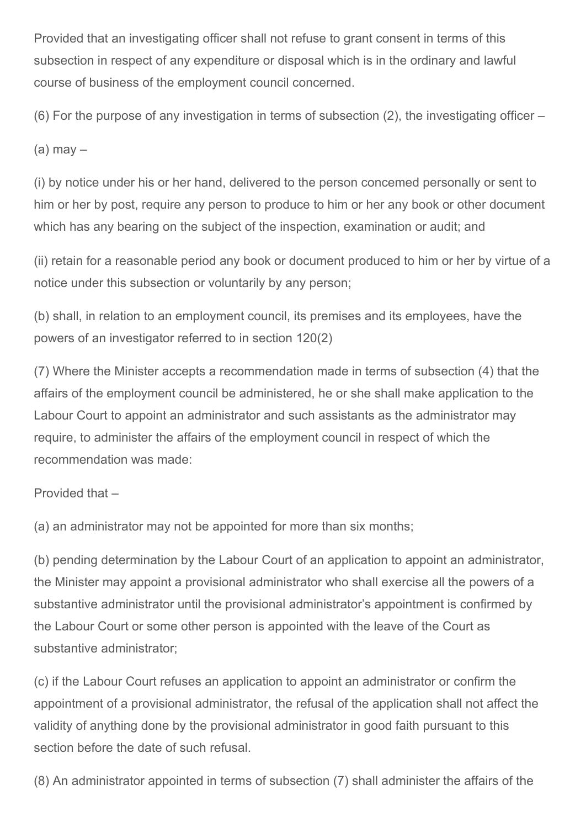Provided that an investigating officer shall not refuse to grant consent in terms of this subsection in respect of any expenditure or disposal which is in the ordinary and lawful course of business of the employment council concerned.

(6) For the purpose of any investigation in terms of subsection (2), the investigating officer –

 $(a)$  may  $-$ 

(i) by notice under his or her hand, delivered to the person concemed personally or sent to him or her by post, require any person to produce to him or her any book or other document which has any bearing on the subject of the inspection, examination or audit; and

(ii) retain for a reasonable period any book or document produced to him or her by virtue of a notice under this subsection or voluntarily by any person;

(b) shall, in relation to an employment council, its premises and its employees, have the powers of an investigator referred to in section 120(2)

(7) Where the Minister accepts a recommendation made in terms of subsection (4) that the affairs of the employment council be administered, he or she shall make application to the Labour Court to appoint an administrator and such assistants as the administrator may require, to administer the affairs of the employment council in respect of which the recommendation was made:

Provided that –

(a) an administrator may not be appointed for more than six months;

(b) pending determination by the Labour Court of an application to appoint an administrator, the Minister may appoint a provisional administrator who shall exercise all the powers of a substantive administrator until the provisional administrator's appointment is confirmed by the Labour Court or some other person is appointed with the leave of the Court as substantive administrator;

(c) if the Labour Court refuses an application to appoint an administrator or confirm the appointment of a provisional administrator, the refusal of the application shall not affect the validity of anything done by the provisional administrator in good faith pursuant to this section before the date of such refusal.

(8) An administrator appointed in terms of subsection (7) shall administer the affairs of the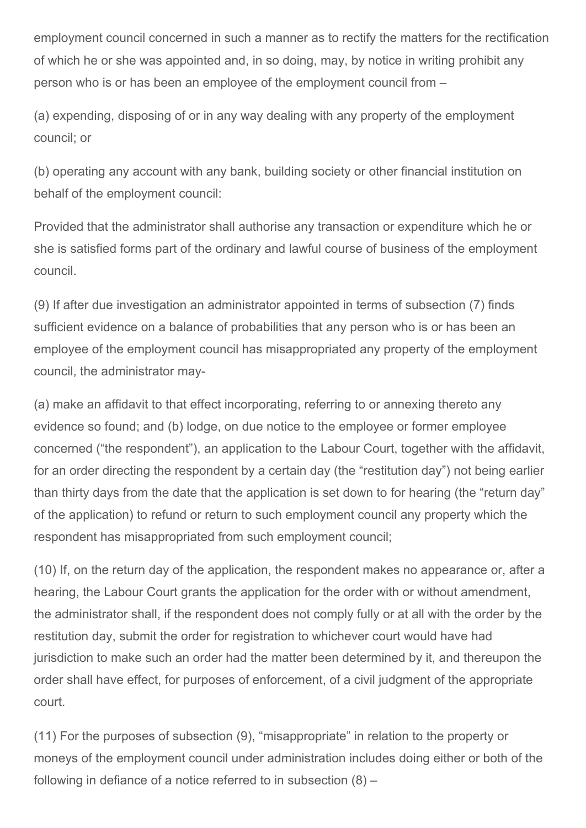employment council concerned in such a manner as to rectify the matters for the rectification of which he or she was appointed and, in so doing, may, by notice in writing prohibit any person who is or has been an employee of the employment council from –

(a) expending, disposing of or in any way dealing with any property of the employment council; or

(b) operating any account with any bank, building society or other financial institution on behalf of the employment council:

Provided that the administrator shall authorise any transaction or expenditure which he or she is satisfied forms part of the ordinary and lawful course of business of the employment council.

(9) If after due investigation an administrator appointed in terms of subsection (7) finds sufficient evidence on a balance of probabilities that any person who is or has been an employee of the employment council has misappropriated any property of the employment council, the administrator may

(a) make an affidavit to that effect incorporating, referring to or annexing thereto any evidence so found; and (b) lodge, on due notice to the employee or former employee concerned ("the respondent"), an application to the Labour Court, together with the affidavit, for an order directing the respondent by a certain day (the "restitution day") not being earlier than thirty days from the date that the application is set down to for hearing (the "return day" of the application) to refund or return to such employment council any property which the respondent has misappropriated from such employment council;

(10) If, on the return day of the application, the respondent makes no appearance or, after a hearing, the Labour Court grants the application for the order with or without amendment, the administrator shall, if the respondent does not comply fully or at all with the order by the restitution day, submit the order for registration to whichever court would have had jurisdiction to make such an order had the matter been determined by it, and thereupon the order shall have effect, for purposes of enforcement, of a civil judgment of the appropriate court.

(11) For the purposes of subsection (9), "misappropriate" in relation to the property or moneys of the employment council under administration includes doing either or both of the following in defiance of a notice referred to in subsection (8) –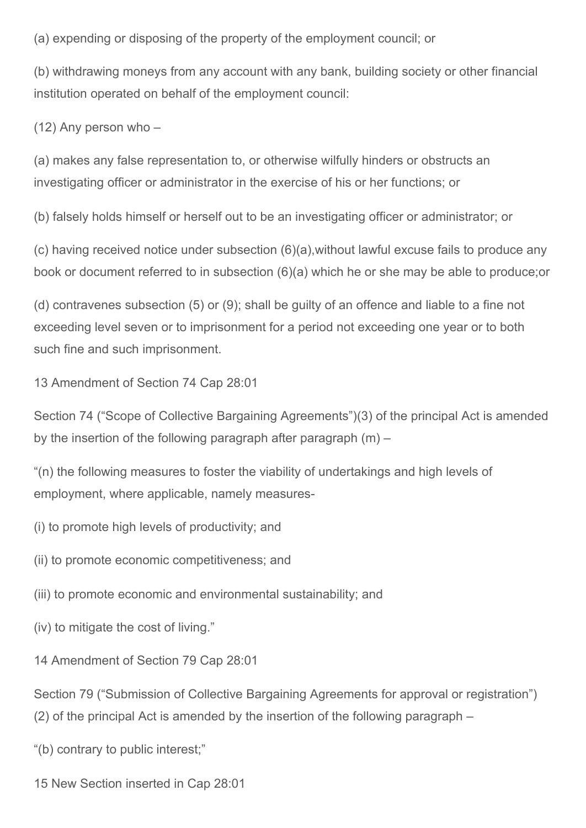(a) expending or disposing of the property of the employment council; or

(b) withdrawing moneys from any account with any bank, building society or other financial institution operated on behalf of the employment council:

(12) Any person who –

(a) makes any false representation to, or otherwise wilfully hinders or obstructs an investigating officer or administrator in the exercise of his or her functions; or

(b) falsely holds himself or herself out to be an investigating officer or administrator; or

(c) having received notice under subsection (6)(a),without lawful excuse fails to produce any book or document referred to in subsection (6)(a) which he or she may be able to produce;or

(d) contravenes subsection (5) or (9); shall be guilty of an offence and liable to a fine not exceeding level seven or to imprisonment for a period not exceeding one year or to both such fine and such imprisonment.

13 Amendment of Section 74 Cap 28:01

Section 74 ("Scope of Collective Bargaining Agreements")(3) of the principal Act is amended by the insertion of the following paragraph after paragraph (m) –

"(n) the following measures to foster the viability of undertakings and high levels of employment, where applicable, namely measures

(i) to promote high levels of productivity; and

(ii) to promote economic competitiveness; and

(iii) to promote economic and environmental sustainability; and

(iv) to mitigate the cost of living."

14 Amendment of Section 79 Cap 28:01

Section 79 ("Submission of Collective Bargaining Agreements for approval or registration") (2) of the principal Act is amended by the insertion of the following paragraph –

"(b) contrary to public interest;"

15 New Section inserted in Cap 28:01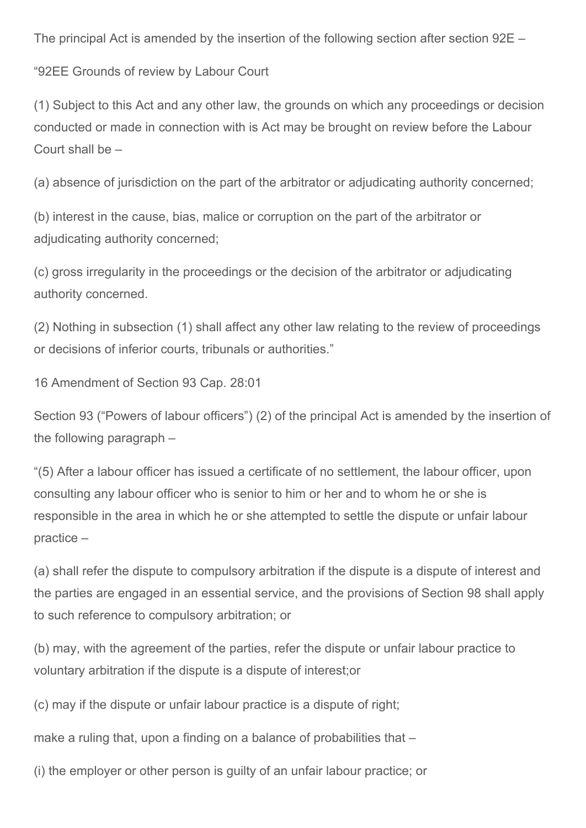The principal Act is amended by the insertion of the following section after section 92E –

"92EE Grounds of review by Labour Court

(1) Subject to this Act and any other law, the grounds on which any proceedings or decision conducted or made in connection with is Act may be brought on review before the Labour Court shall be –

(a) absence of jurisdiction on the part of the arbitrator or adjudicating authority concerned;

(b) interest in the cause, bias, malice or corruption on the part of the arbitrator or adjudicating authority concerned;

(c) gross irregularity in the proceedings or the decision of the arbitrator or adjudicating authority concerned.

(2) Nothing in subsection (1) shall affect any other law relating to the review of proceedings or decisions of inferior courts, tribunals or authorities."

16 Amendment of Section 93 Cap. 28:01

Section 93 ("Powers of labour officers") (2) of the principal Act is amended by the insertion of the following paragraph –

"(5) After a labour officer has issued a certificate of no settlement, the labour officer, upon consulting any labour officer who is senior to him or her and to whom he or she is responsible in the area in which he or she attempted to settle the dispute or unfair labour practice –

(a) shall refer the dispute to compulsory arbitration if the dispute is a dispute of interest and the parties are engaged in an essential service, and the provisions of Section 98 shall apply to such reference to compulsory arbitration; or

(b) may, with the agreement of the parties, refer the dispute or unfair labour practice to voluntary arbitration if the dispute is a dispute of interest;or

(c) may if the dispute or unfair labour practice is a dispute of right;

make a ruling that, upon a finding on a balance of probabilities that –

(i) the employer or other person is guilty of an unfair labour practice; or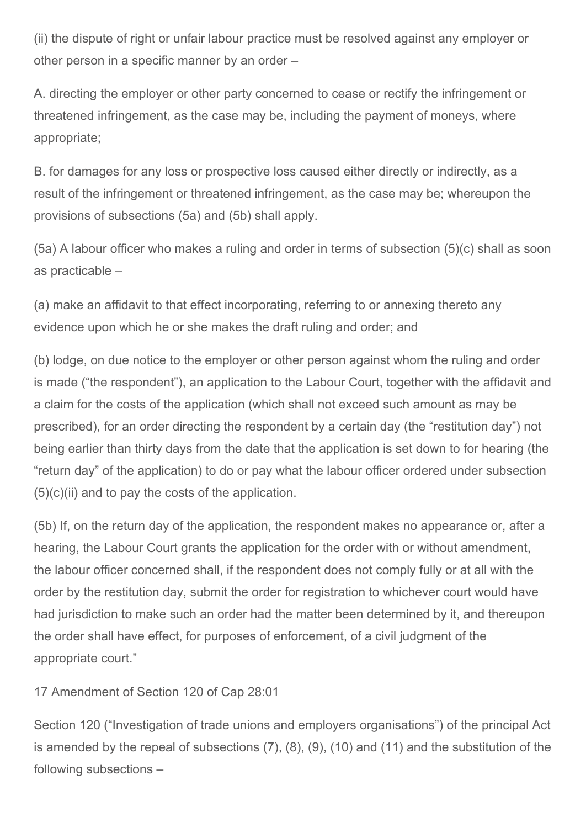(ii) the dispute of right or unfair labour practice must be resolved against any employer or other person in a specific manner by an order –

A. directing the employer or other party concerned to cease or rectify the infringement or threatened infringement, as the case may be, including the payment of moneys, where appropriate;

B. for damages for any loss or prospective loss caused either directly or indirectly, as a result of the infringement or threatened infringement, as the case may be; whereupon the provisions of subsections (5a) and (5b) shall apply.

(5a) A labour officer who makes a ruling and order in terms of subsection (5)(c) shall as soon as practicable –

(a) make an affidavit to that effect incorporating, referring to or annexing thereto any evidence upon which he or she makes the draft ruling and order; and

(b) lodge, on due notice to the employer or other person against whom the ruling and order is made ("the respondent"), an application to the Labour Court, together with the affidavit and a claim for the costs of the application (which shall not exceed such amount as may be prescribed), for an order directing the respondent by a certain day (the "restitution day") not being earlier than thirty days from the date that the application is set down to for hearing (the "return day" of the application) to do or pay what the labour officer ordered under subsection  $(5)(c)(ii)$  and to pay the costs of the application.

(5b) If, on the return day of the application, the respondent makes no appearance or, after a hearing, the Labour Court grants the application for the order with or without amendment, the labour officer concerned shall, if the respondent does not comply fully or at all with the order by the restitution day, submit the order for registration to whichever court would have had jurisdiction to make such an order had the matter been determined by it, and thereupon the order shall have effect, for purposes of enforcement, of a civil judgment of the appropriate court."

## 17 Amendment of Section 120 of Cap 28:01

Section 120 ("Investigation of trade unions and employers organisations") of the principal Act is amended by the repeal of subsections (7), (8), (9), (10) and (11) and the substitution of the following subsections –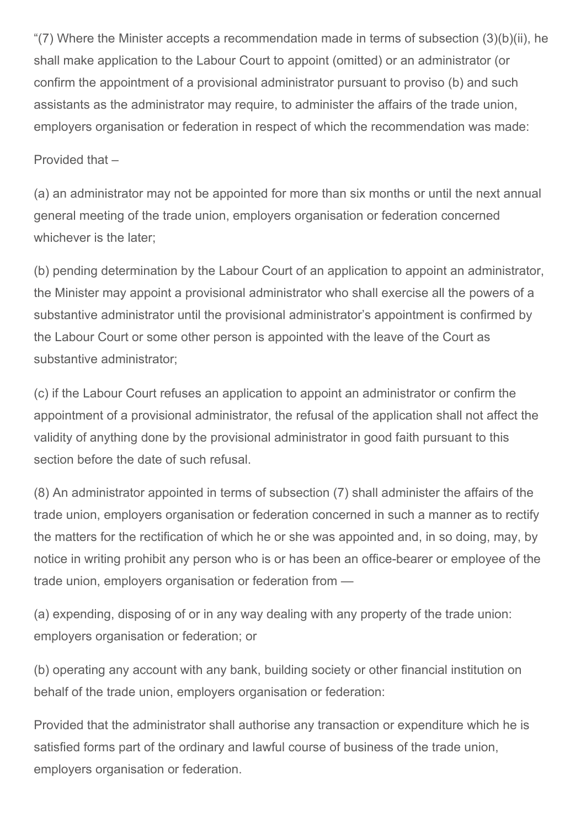"(7) Where the Minister accepts a recommendation made in terms of subsection (3)(b)(ii), he shall make application to the Labour Court to appoint (omitted) or an administrator (or confirm the appointment of a provisional administrator pursuant to proviso (b) and such assistants as the administrator may require, to administer the affairs of the trade union, employers organisation or federation in respect of which the recommendation was made:

Provided that –

(a) an administrator may not be appointed for more than six months or until the next annual general meeting of the trade union, employers organisation or federation concerned whichever is the later;

(b) pending determination by the Labour Court of an application to appoint an administrator, the Minister may appoint a provisional administrator who shall exercise all the powers of a substantive administrator until the provisional administrator's appointment is confirmed by the Labour Court or some other person is appointed with the leave of the Court as substantive administrator;

(c) if the Labour Court refuses an application to appoint an administrator or confirm the appointment of a provisional administrator, the refusal of the application shall not affect the validity of anything done by the provisional administrator in good faith pursuant to this section before the date of such refusal.

(8) An administrator appointed in terms of subsection (7) shall administer the affairs of the trade union, employers organisation or federation concerned in such a manner as to rectify the matters for the rectification of which he or she was appointed and, in so doing, may, by notice in writing prohibit any person who is or has been an office-bearer or employee of the trade union, employers organisation or federation from —

(a) expending, disposing of or in any way dealing with any property of the trade union: employers organisation or federation; or

(b) operating any account with any bank, building society or other financial institution on behalf of the trade union, employers organisation or federation:

Provided that the administrator shall authorise any transaction or expenditure which he is satisfied forms part of the ordinary and lawful course of business of the trade union, employers organisation or federation.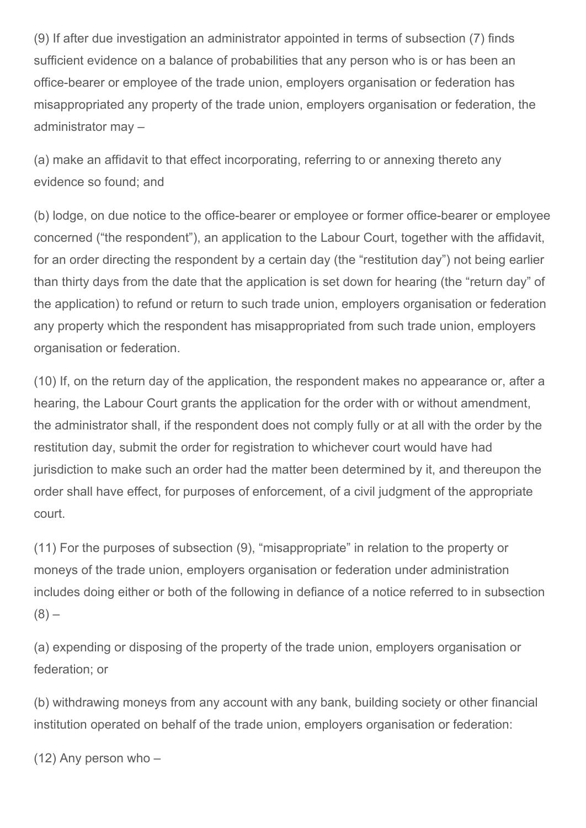(9) If after due investigation an administrator appointed in terms of subsection (7) finds sufficient evidence on a balance of probabilities that any person who is or has been an office-bearer or employee of the trade union, employers organisation or federation has misappropriated any property of the trade union, employers organisation or federation, the administrator may –

(a) make an affidavit to that effect incorporating, referring to or annexing thereto any evidence so found; and

(b) lodge, on due notice to the office-bearer or employee or former office-bearer or employee concerned ("the respondent"), an application to the Labour Court, together with the affidavit, for an order directing the respondent by a certain day (the "restitution day") not being earlier than thirty days from the date that the application is set down for hearing (the "return day" of the application) to refund or return to such trade union, employers organisation or federation any property which the respondent has misappropriated from such trade union, employers organisation or federation.

(10) If, on the return day of the application, the respondent makes no appearance or, after a hearing, the Labour Court grants the application for the order with or without amendment, the administrator shall, if the respondent does not comply fully or at all with the order by the restitution day, submit the order for registration to whichever court would have had jurisdiction to make such an order had the matter been determined by it, and thereupon the order shall have effect, for purposes of enforcement, of a civil judgment of the appropriate court.

(11) For the purposes of subsection (9), "misappropriate" in relation to the property or moneys of the trade union, employers organisation or federation under administration includes doing either or both of the following in defiance of a notice referred to in subsection  $(8)$  –

(a) expending or disposing of the property of the trade union, employers organisation or federation; or

(b) withdrawing moneys from any account with any bank, building society or other financial institution operated on behalf of the trade union, employers organisation or federation:

(12) Any person who –